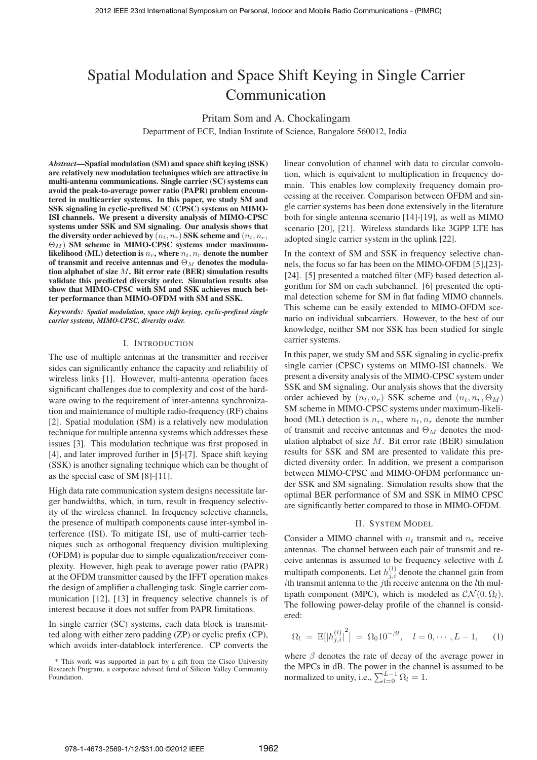# Spatial Modulation and Space Shift Keying in Single Carrier Communication

Pritam Som and A. Chockalingam

Department of ECE, Indian Institute of Science, Bangalore 560012, India

*Abstract***—Spatial modulation (SM) and space shift keying (SSK) are relatively new modulation techniques which are attractive in multi-antenna communications. Single carrier (SC) systems can avoid the peak-to-average power ratio (PAPR) problem encountered in multicarrier systems. In this paper, we study SM and SSK signaling in cyclic-prefixed SC (CPSC) systems on MIMO-ISI channels. We present a diversity analysis of MIMO-CPSC systems under SSK and SM signaling. Our analysis shows that** the diversity order achieved by  $(n_t, n_r)$  SSK scheme and  $(n_t, n_r)$ , Θ) **SM scheme in MIMO-CPSC systems under maximumlikelihood** (ML) detection is  $n_r$ , where  $n_t$ ,  $n_r$  denote the number **of transmit and receive antennas and**  $\Theta_M$  denotes the modulation alphabet of size M. Bit error rate (BER) simulation results **validate this predicted diversity order. Simulation results also show that MIMO-CPSC with SM and SSK achieves much better performance than MIMO-OFDM with SM and SSK.**

*Keywords: Spatial modulation, space shift keying, cyclic-prefixed single carrier systems, MIMO-CPSC, diversity order.*

#### I. INTRODUCTION

The use of multiple antennas at the transmitter and receiver sides can significantly enhance the capacity and reliability of wireless links [1]. However, multi-antenna operation faces significant challenges due to complexity and cost of the hardware owing to the requirement of inter-antenna synchronization and maintenance of multiple radio-frequency (RF) chains [2]. Spatial modulation (SM) is a relatively new modulation technique for multiple antenna systems which addresses these issues [3]. This modulation technique was first proposed in [4], and later improved further in [5]-[7]. Space shift keying (SSK) is another signaling technique which can be thought of as the special case of SM [8]-[11].

High data rate communication system designs necessitate larger bandwidths, which, in turn, result in frequency selectivity of the wireless channel. In frequency selective channels, the presence of multipath components cause inter-symbol interference (ISI). To mitigate ISI, use of multi-carrier techniques such as orthogonal frequency division multiplexing (OFDM) is popular due to simple equalization/receiver complexity. However, high peak to average power ratio (PAPR) at the OFDM transmitter caused by the IFFT operation makes the design of amplifier a challenging task. Single carrier communication [12], [13] in frequency selective channels is of interest because it does not suffer from PAPR limitations.

In single carrier (SC) systems, each data block is transmitted along with either zero padding (ZP) or cyclic prefix (CP), which avoids inter-datablock interference. CP converts the linear convolution of channel with data to circular convolution, which is equivalent to multiplication in frequency domain. This enables low complexity frequency domain processing at the receiver. Comparison between OFDM and single carrier systems has been done extensively in the literature both for single antenna scenario [14]-[19], as well as MIMO scenario [20], [21]. Wireless standards like 3GPP LTE has adopted single carrier system in the uplink [22].

In the context of SM and SSK in frequency selective channels, the focus so far has been on the MIMO-OFDM [5],[23]- [24]. [5] presented a matched filter (MF) based detection algorithm for SM on each subchannel. [6] presented the optimal detection scheme for SM in flat fading MIMO channels. This scheme can be easily extended to MIMO-OFDM scenario on individual subcarriers. However, to the best of our knowledge, neither SM nor SSK has been studied for single carrier systems.

In this paper, we study SM and SSK signaling in cyclic-prefix single carrier (CPSC) systems on MIMO-ISI channels. We present a diversity analysis of the MIMO-CPSC system under SSK and SM signaling. Our analysis shows that the diversity order achieved by  $(n_t, n_r)$  SSK scheme and  $(n_t, n_r, \Theta_M)$ SM scheme in MIMO-CPSC systems under maximum-likelihood (ML) detection is  $n_r$ , where  $n_t, n_r$  denote the number of transmit and receive antennas and  $\Theta_M$  denotes the modulation alphabet of size  $M$ . Bit error rate (BER) simulation results for SSK and SM are presented to validate this predicted diversity order. In addition, we present a comparison between MIMO-CPSC and MIMO-OFDM performance under SSK and SM signaling. Simulation results show that the optimal BER performance of SM and SSK in MIMO CPSC are significantly better compared to those in MIMO-OFDM.

#### II. SYSTEM MODEL

Consider a MIMO channel with  $n_t$  transmit and  $n_r$  receive antennas. The channel between each pair of transmit and receive antennas is assumed to be frequency selective with  $L$ multipath components. Let  $h_{j,i}^{(l)}$  denote the channel gain from ith transmit antenna to the jth receive antenna on the  $l$ th multipath component (MPC), which is modeled as  $\mathcal{CN}(0, \Omega_l)$ . The following power-delay profile of the channel is considered:

$$
\Omega_l = \mathbb{E}[|h_{j,i}^{(l)}|^2] = \Omega_0 10^{-\beta l}, \quad l = 0, \cdots, L - 1,
$$
 (1)

where  $\beta$  denotes the rate of decay of the average power in the MPCs in dB. The power in the channel is assumed to be normalized to unity, i.e.,  $\sum_{l=0}^{L-1} \Omega_l = 1$ .

<sup>\*</sup> This work was supported in part by a gift from the Cisco University Research Program, a corporate advised fund of Silicon Valley Community Foundation.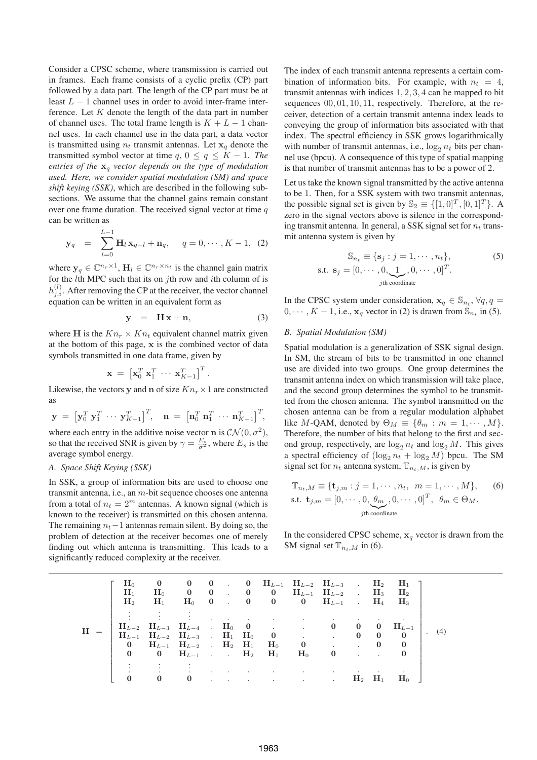Consider a CPSC scheme, where transmission is carried out in frames. Each frame consists of a cyclic prefix (CP) part followed by a data part. The length of the CP part must be at least  $L - 1$  channel uses in order to avoid inter-frame interference. Let  $K$  denote the length of the data part in number of channel uses. The total frame length is  $K + L - 1$  channel uses. In each channel use in the data part, a data vector is transmitted using  $n_t$  transmit antennas. Let  $\mathbf{x}_q$  denote the transmitted symbol vector at time  $q$ ,  $0 \le q \le K - 1$ . The *entries of the*  $\mathbf{x}_a$  *vector depends on the type of modulation used. Here, we consider spatial modulation (SM) and space shift keying (SSK)*, which are described in the following subsections. We assume that the channel gains remain constant over one frame duration. The received signal vector at time  $q$ can be written as

$$
\mathbf{y}_q = \sum_{l=0}^{L-1} \mathbf{H}_l \mathbf{x}_{q-l} + \mathbf{n}_q, \quad q = 0, \cdots, K-1, (2)
$$

where  $y_a \in \mathbb{C}^{n_r \times 1}$ ,  $H_l \in \mathbb{C}^{n_r \times n_t}$  is the channel gain matrix for the  $l$ th MPC such that its on  $j$ th row and  $i$ th column of is  $h_{j,i}^{(l)}$ . After removing the CP at the receiver, the vector channel equation can be written in an equivalent form as

$$
y = Hx + n,\t(3)
$$

where **H** is the  $Kn_r \times Kn_t$  equivalent channel matrix given at the bottom of this page, **x** is the combined vector of data symbols transmitted in one data frame, given by

$$
\mathbf{x} = \left[ \mathbf{x}_0^T \ \mathbf{x}_1^T \ \cdots \ \mathbf{x}_{K-1}^T \right]^T.
$$

Likewise, the vectors y and **n** of size  $Kn_r \times 1$  are constructed as

$$
\mathbf{y} = \left[\mathbf{y}_0^T \mathbf{y}_1^T \cdots \mathbf{y}_{K-1}^T\right]^T, \quad \mathbf{n} = \left[\mathbf{n}_0^T \mathbf{n}_1^T \cdots \mathbf{n}_{K-1}^T\right]^T,
$$

where each entry in the additive noise vector **n** is  $CN(0, \sigma^2)$ , so that the received SNR is given by  $\gamma = \frac{E_s}{\sigma^2}$ , where  $E_s$  is the average symbol energy.

## *A. Space Shift Keying (SSK)*

In SSK, a group of information bits are used to choose one transmit antenna, i.e., an  $m$ -bit sequence chooses one antenna from a total of  $n_t = 2^m$  antennas. A known signal (which is known to the receiver) is transmitted on this chosen antenna. The remaining  $n_t-1$  antennas remain silent. By doing so, the problem of detection at the receiver becomes one of merely finding out which antenna is transmitting. This leads to a significantly reduced complexity at the receiver.

The index of each transmit antenna represents a certain combination of information bits. For example, with  $n_t = 4$ , transmit antennas with indices 1, 2, 3, 4 can be mapped to bit sequences 00, 01, 10, 11, respectively. Therefore, at the receiver, detection of a certain transmit antenna index leads to conveying the group of information bits associated with that index. The spectral efficiency in SSK grows logarithmically with number of transmit antennas, i.e.,  $\log_2 n_t$  bits per channel use (bpcu). A consequence of this type of spatial mapping is that number of transmit antennas has to be a power of 2.

Let us take the known signal transmitted by the active antenna to be 1. Then, for a SSK system with two transmit antennas, the possible signal set is given by  $\mathbb{S}_2 \equiv \{ [1, 0]^T, [0, 1]^T \}$ . A zero in the signal vectors above is silence in the corresponding transmit antenna. In general, a SSK signal set for  $n_t$  transmit antenna system is given by

$$
\mathbb{S}_{n_t} \equiv \{ \mathbf{s}_j : j = 1, \cdots, n_t \},
$$
  
s.t.  $\mathbf{s}_j = [0, \cdots, 0, \underbrace{1}_{j\text{th coordinate}}, 0, \cdots, 0]^T.$  (5)

In the CPSC system under consideration,  $\mathbf{x}_q \in \mathbb{S}_{n_t}$ ,  $\forall q, q =$  $0, \dots, K-1$ , i.e.,  $\mathbf{x}_q$  vector in (2) is drawn from  $\mathbb{S}_{n_t}$  in (5).

## *B. Spatial Modulation (SM)*

Spatial modulation is a generalization of SSK signal design. In SM, the stream of bits to be transmitted in one channel use are divided into two groups. One group determines the transmit antenna index on which transmission will take place, and the second group determines the symbol to be transmitted from the chosen antenna. The symbol transmitted on the chosen antenna can be from a regular modulation alphabet like M-QAM, denoted by  $\Theta_M \equiv \{\theta_m : m = 1, \cdots, M\}.$ Therefore, the number of bits that belong to the first and second group, respectively, are  $\log_2 n_t$  and  $\log_2 M$ . This gives a spectral efficiency of  $(\log_2 n_t + \log_2 M)$  bpcu. The SM signal set for  $n_t$  antenna system,  $\mathbb{T}_{n_t,M}$ , is given by

$$
\mathbb{T}_{n_t,M} \equiv \{\mathbf{t}_{j,m} : j = 1, \cdots, n_t, m = 1, \cdots, M\},
$$
\n
$$
\text{s.t. } \mathbf{t}_{j,m} = [0, \cdots, 0, \underbrace{\theta_m}_{j\text{th coordinate}}, 0, \cdots, 0]^T, \ \theta_m \in \Theta_M.
$$
\n
$$
(6)
$$

In the considered CPSC scheme,  $x_q$  vector is drawn from the SM signal set  $\mathbb{T}_{n_t,M}$  in (6).

|  | $H_0$<br>$H_1$<br>${\bf H}_2$ | $\mathbf{0}$<br>$H_0$<br>$H_1$              | $\bf{0}$<br>$H_0$ 0.                                            |  |         |                                         |                      | 0 . 0 $H_{L-1}$ $H_{L-2}$ $H_{L-3}$ . $H_2$ $H_1$<br>$\begin{matrix} 0 & 0 & . & 0 & 0 & \mathrm{H}_{L-1} & \mathrm{H}_{L-2} \end{matrix}$ .<br>$\mathbf{0}$ 0 0 $\mathbf{H}_{L-1}$ . |                                   | ${\bf H}_4$         | $H_3$ $H_2$<br>$H_3$ |  |
|--|-------------------------------|---------------------------------------------|-----------------------------------------------------------------|--|---------|-----------------------------------------|----------------------|---------------------------------------------------------------------------------------------------------------------------------------------------------------------------------------|-----------------------------------|---------------------|----------------------|--|
|  |                               |                                             | the contract of the contract of the contract of the contract of |  |         | $\ddot{\phantom{1}}$                    | $\cdot$              |                                                                                                                                                                                       | $\sim$                            | $\sim$              |                      |  |
|  |                               | $H_{L-2}$ $H_{L-3}$ $H_{L-4}$ $H_0$ 0 .     |                                                                 |  |         |                                         | <b>All Contracts</b> | $\bf{0}$                                                                                                                                                                              | $\mathbf{0}$                      | $\bf{0}$            | $\mathbf{H}_{L-1}$   |  |
|  |                               | $H_{L-1}$ $H_{L-2}$ $H_{L-3}$ $H_1$ $H_0$ 0 |                                                                 |  |         |                                         |                      | <b>Contract Contract Contract</b>                                                                                                                                                     |                                   | $0 \quad 0 \quad 0$ |                      |  |
|  |                               | 0 $H_{L-1}$ $H_{L-2}$ $H_2$ $H_1$ $H_0$     |                                                                 |  |         |                                         | $\mathbf{0}$         |                                                                                                                                                                                       |                                   | $\cdot$ 0           |                      |  |
|  | $\mathbf{0}$                  |                                             | 0 $H_{L-1}$ . $H_2$                                             |  |         | $H_1$                                   | $H_0$                | $\mathbf{0}$                                                                                                                                                                          | and the control of                |                     |                      |  |
|  |                               |                                             |                                                                 |  |         |                                         |                      |                                                                                                                                                                                       |                                   |                     |                      |  |
|  |                               |                                             |                                                                 |  | $\cdot$ | $\bullet$                               |                      | $\ddot{\phantom{1}}$                                                                                                                                                                  | the company of the company of the |                     |                      |  |
|  |                               | $\bf{0}$                                    | $\bf{0}$                                                        |  |         | the second control of the second second | $\sim$               | and the state of the state of                                                                                                                                                         | $H_2$ $H_1$                       |                     | $H_0$                |  |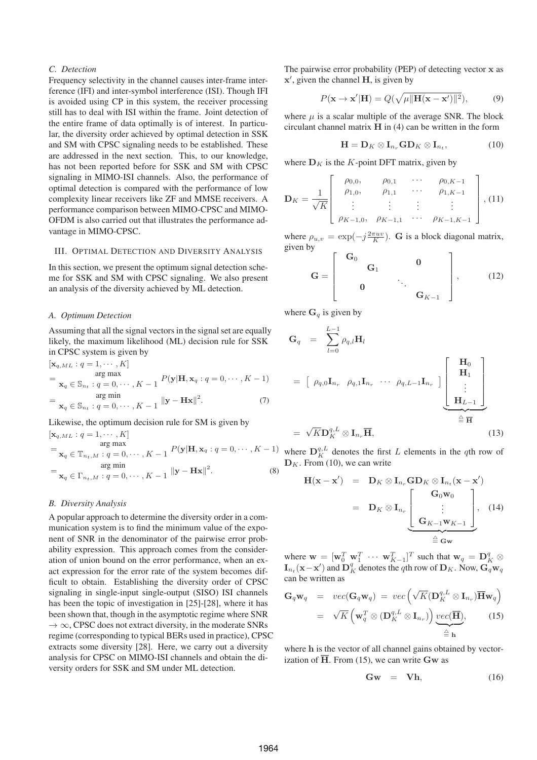## *C. Detection*

Frequency selectivity in the channel causes inter-frame interference (IFI) and inter-symbol interference (ISI). Though IFI is avoided using CP in this system, the receiver processing still has to deal with ISI within the frame. Joint detection of the entire frame of data optimally is of interest. In particular, the diversity order achieved by optimal detection in SSK and SM with CPSC signaling needs to be established. These are addressed in the next section. This, to our knowledge, has not been reported before for SSK and SM with CPSC signaling in MIMO-ISI channels. Also, the performance of optimal detection is compared with the performance of low complexity linear receivers like ZF and MMSE receivers. A performance comparison between MIMO-CPSC and MIMO-OFDM is also carried out that illustrates the performance advantage in MIMO-CPSC.

## III. OPTIMAL DETECTION AND DIVERSITY ANALYSIS

In this section, we present the optimum signal detection scheme for SSK and SM with CPSC signaling. We also present an analysis of the diversity achieved by ML detection.

#### *A. Optimum Detection*

Assuming that all the signal vectors in the signal set are equally likely, the maximum likelihood (ML) decision rule for SSK in CPSC system is given by

$$
[\mathbf{x}_{q, ML} : q = 1, \cdots, K]
$$
  
\n
$$
= \mathbf{x}_{q} \in \mathbb{S}_{n_{t}} : q = 0, \cdots, K - 1 \quad P(\mathbf{y}|\mathbf{H}, \mathbf{x}_{q} : q = 0, \cdots, K - 1)
$$
  
\n
$$
= \mathbf{x}_{q} \in \mathbb{S}_{n_{t}} : q = 0, \cdots, K - 1 \quad ||\mathbf{y} - \mathbf{H}\mathbf{x}||^{2}.
$$
 (7)

Likewise, the optimum decision rule for SM is given by

$$
[\mathbf{x}_{q,ML}: q = 1, \cdots, K]
$$
  
\n
$$
= \underset{\mathbf{x}_q \in \mathbb{T}_{n_t,M}: q = 0, \cdots, K-1}{\text{arg max}} P(\mathbf{y}|\mathbf{H}, \mathbf{x}_q: q = 0, \cdots, K-1)
$$
  
\n
$$
= \underset{\mathbf{x}_q \in \Gamma_{n_t,M}: q = 0, \cdots, K-1}{\text{arg min}} ||\mathbf{y} - \mathbf{H}\mathbf{x}||^2.
$$
 (8)

#### *B. Diversity Analysis*

A popular approach to determine the diversity order in a communication system is to find the minimum value of the exponent of SNR in the denominator of the pairwise error probability expression. This approach comes from the consideration of union bound on the error performance, when an exact expression for the error rate of the system becomes difficult to obtain. Establishing the diversity order of CPSC signaling in single-input single-output (SISO) ISI channels has been the topic of investigation in [25]-[28], where it has been shown that, though in the asymptotic regime where SNR  $\rightarrow \infty$ , CPSC does not extract diversity, in the moderate SNRs regime (corresponding to typical BERs used in practice), CPSC extracts some diversity [28]. Here, we carry out a diversity analysis for CPSC on MIMO-ISI channels and obtain the diversity orders for SSK and SM under ML detection.

The pairwise error probability (PEP) of detecting vector **x** as **x**′ , given the channel **H**, is given by

$$
P(\mathbf{x} \to \mathbf{x}'|\mathbf{H}) = Q(\sqrt{\mu \|\mathbf{H}(\mathbf{x} - \mathbf{x}')\|^2}),\tag{9}
$$

where  $\mu$  is a scalar multiple of the average SNR. The block circulant channel matrix **H** in (4) can be written in the form

$$
\mathbf{H} = \mathbf{D}_K \otimes \mathbf{I}_{n_r} \mathbf{G} \mathbf{D}_K \otimes \mathbf{I}_{n_t},\tag{10}
$$

where  $D_K$  is the  $K$ -point DFT matrix, given by

$$
\mathbf{D}_K = \frac{1}{\sqrt{K}} \begin{bmatrix} \rho_{0,0}, & \rho_{0,1} & \cdots & \rho_{0,K-1} \\ \rho_{1,0}, & \rho_{1,1} & \cdots & \rho_{1,K-1} \\ \vdots & \vdots & \vdots & \vdots \\ \rho_{K-1,0}, & \rho_{K-1,1} & \cdots & \rho_{K-1,K-1} \end{bmatrix}, (11)
$$

where  $\rho_{u,v} = \exp(-j\frac{2\pi uv}{K})$ . **G** is a block diagonal matrix, given by

$$
\mathbf{G} = \left[ \begin{array}{cccc} \mathbf{G}_0 & & & \mathbf{0} \\ & \mathbf{G}_1 & & \mathbf{0} \\ & \mathbf{0} & & \ddots & \\ & & & \mathbf{G}_{K-1} \end{array} \right], \qquad (12)
$$

where  $\mathbf{G}_q$  is given by

$$
\mathbf{G}_q = \sum_{l=0}^{L-1} \rho_{q,l} \mathbf{H}_l
$$
  
=  $\left[ \begin{array}{ccc} \rho_{q,0} \mathbf{I}_{n_r} & \rho_{q,1} \mathbf{I}_{n_r} & \cdots & \rho_{q,L-1} \mathbf{I}_{n_r} \end{array} \right] \left[ \begin{array}{c} \mathbf{H}_0 \\ \mathbf{H}_1 \\ \vdots \\ \mathbf{H}_{L-1} \end{array} \right] \triangleq \overbrace{\mathbf{H}}^{L}$ 

$$
= \sqrt{K} \mathbf{D}_{K}^{q,L} \otimes \mathbf{I}_{n_{r}} \overline{\mathbf{H}}, \tag{13}
$$

where  $D_K^{q,L}$  denotes the first L elements in the q<sup>th</sup> row of  $\mathbf{D}_K$ . From (10), we can write

$$
\mathbf{H}(\mathbf{x} - \mathbf{x}') = \mathbf{D}_K \otimes \mathbf{I}_{n_r} \mathbf{G} \mathbf{D}_K \otimes \mathbf{I}_{n_t}(\mathbf{x} - \mathbf{x}')
$$

$$
= \mathbf{D}_K \otimes \mathbf{I}_{n_r} \underbrace{\begin{bmatrix} \mathbf{G}_0 \mathbf{w}_0 \\ \vdots \\ \mathbf{G}_{K-1} \mathbf{w}_{K-1} \end{bmatrix}}_{\triangleq \mathbf{G_W}}, \quad (14)
$$

where  $\mathbf{w} = [\mathbf{w}_0^T \ \mathbf{w}_1^T \ \cdots \ \mathbf{w}_{K-1}^T]^T$  such that  $\mathbf{w}_q = \mathbf{D}_K^q \otimes$  $\mathbf{I}_{n_t}(\mathbf{x}-\mathbf{x}')$  and  $\mathbf{D}_K^q$  denotes the qth row of  $\mathbf{D}_K$ . Now,  $\mathbf{G}_q^{\mathbf{T}}\mathbf{w}_q$ can be written as

$$
\mathbf{G}_{q}\mathbf{w}_{q} = vec(\mathbf{G}_{q}\mathbf{w}_{q}) = vec(\sqrt{K}(\mathbf{D}_{K}^{q,L} \otimes \mathbf{I}_{n_{r}})\mathbf{\overline{H}}\mathbf{w}_{q})
$$

$$
= \sqrt{K} \left(\mathbf{w}_{q}^{T} \otimes (\mathbf{D}_{K}^{q,L} \otimes \mathbf{I}_{n_{r}})\right) \underbrace{vec(\mathbf{H})}_{\triangleq \mathbf{h}}, \qquad (15)
$$

where **h** is the vector of all channel gains obtained by vectorization of  $\overline{H}$ . From (15), we can write **Gw** as

$$
Gw = Vh, \t(16)
$$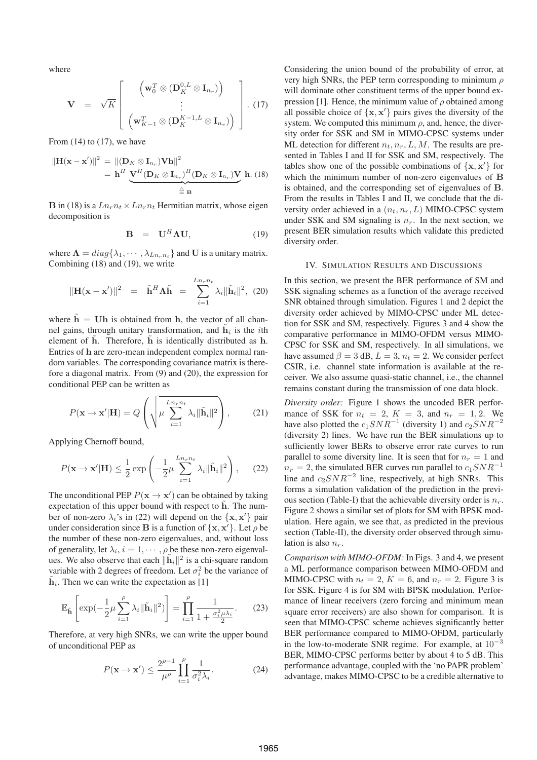where

$$
\mathbf{V} = \sqrt{K} \begin{bmatrix} \left( \mathbf{w}_0^T \otimes (\mathbf{D}_K^{0,L} \otimes \mathbf{I}_{n_r}) \right) \\ \vdots \\ \left( \mathbf{w}_{K-1}^T \otimes (\mathbf{D}_K^{K-1,L} \otimes \mathbf{I}_{n_r}) \right) \end{bmatrix} . (17)
$$

From  $(14)$  to  $(17)$ , we have

$$
\|\mathbf{H}(\mathbf{x} - \mathbf{x}')\|^2 = \|(\mathbf{D}_K \otimes \mathbf{I}_{n_r})\mathbf{V}\mathbf{h}\|^2
$$
  
=  $\mathbf{h}^H \underbrace{\mathbf{V}^H(\mathbf{D}_K \otimes \mathbf{I}_{n_r})^H(\mathbf{D}_K \otimes \mathbf{I}_{n_r})\mathbf{V}}_{\triangleq \mathbf{B}} \mathbf{h}.$  (18)

**B** in (18) is a  $Ln_r n_t \times Ln_r n_t$  Hermitian matrix, whose eigen decomposition is

$$
\mathbf{B} = \mathbf{U}^H \mathbf{\Lambda} \mathbf{U}, \tag{19}
$$

where  $\Lambda = diag\{\lambda_1, \cdots, \lambda_{Ln_r n_t}\}$  and **U** is a unitary matrix. Combining (18) and (19), we write

$$
\|\mathbf{H}(\mathbf{x} - \mathbf{x}')\|^2 = \tilde{\mathbf{h}}^H \mathbf{\Lambda} \tilde{\mathbf{h}} = \sum_{i=1}^{Ln_r n_t} \lambda_i \|\tilde{\mathbf{h}}_i\|^2, \tag{20}
$$

where  $\mathbf{h} = \mathbf{U}\mathbf{h}$  is obtained from **h**, the vector of all channel gains, through unitary transformation, and  $\tilde{\mathbf{h}}_i$  is the *i*th element of  $\hat{\bf h}$ . Therefore,  $\hat{\bf h}$  is identically distributed as  ${\bf h}$ . Entries of **h** are zero-mean independent complex normal random variables. The corresponding covariance matrix is therefore a diagonal matrix. From (9) and (20), the expression for conditional PEP can be written as

$$
P(\mathbf{x} \to \mathbf{x'}|\mathbf{H}) = Q\left(\sqrt{\mu \sum_{i=1}^{Ln_r n_t} \lambda_i \|\tilde{\mathbf{h}}_i\|^2}\right),\qquad(21)
$$

Applying Chernoff bound,

$$
P(\mathbf{x} \to \mathbf{x}'|\mathbf{H}) \le \frac{1}{2} \exp\left(-\frac{1}{2}\mu \sum_{i=1}^{Ln_r n_t} \lambda_i \|\tilde{\mathbf{h}}_i\|^2\right),\qquad(22)
$$

The unconditional PEP  $P(\mathbf{x} \to \mathbf{x}')$  can be obtained by taking expectation of this upper bound with respect to **h**. The number of non-zero  $\lambda_i$ 's in (22) will depend on the  $\{x, x'\}$  pair under consideration since **B** is a function of  $\{x, x'\}$ . Let  $\rho$  be the number of these non-zero eigenvalues, and, without loss of generality, let  $\lambda_i$ ,  $i = 1, \dots, \rho$  be these non-zero eigenvalues. We also observe that each  $\|\tilde{\mathbf{h}}_i\|^2$  is a chi-square random variable with 2 degrees of freedom. Let  $\sigma_i^2$  be the variance of  $\mathbf{h}_i$ . Then we can write the expectation as [1]

$$
\mathbb{E}_{\tilde{\mathbf{h}}}\left[\exp(-\frac{1}{2}\mu\sum_{i=1}^{\rho}\lambda_i\|\tilde{\mathbf{h}}_i\|^2)\right] = \prod_{i=1}^{\rho}\frac{1}{1+\frac{\sigma_i^2\mu\lambda_i}{2}}.\tag{23}
$$

Therefore, at very high SNRs, we can write the upper bound of unconditional PEP as

$$
P(\mathbf{x} \to \mathbf{x}') \le \frac{2^{\rho - 1}}{\mu^{\rho}} \prod_{i=1}^{\rho} \frac{1}{\sigma_i^2 \lambda_i}.
$$
 (24)

Considering the union bound of the probability of error, at very high SNRs, the PEP term corresponding to minimum  $\rho$ will dominate other constituent terms of the upper bound expression [1]. Hence, the minimum value of  $\rho$  obtained among all possible choice of  $\{x, x'\}$  pairs gives the diversity of the system. We computed this minimum  $\rho$ , and, hence, the diversity order for SSK and SM in MIMO-CPSC systems under ML detection for different  $n_t$ ,  $n_r$ , L, M. The results are presented in Tables I and II for SSK and SM, respectively. The tables show one of the possible combinations of  $\{x, x'\}$  for which the minimum number of non-zero eigenvalues of **B** is obtained, and the corresponding set of eigenvalues of **B**. From the results in Tables I and II, we conclude that the diversity order achieved in a  $(n_t, n_r, L)$  MIMO-CPSC system under SSK and SM signaling is  $n_r$ . In the next section, we present BER simulation results which validate this predicted diversity order.

#### IV. SIMULATION RESULTS AND DISCUSSIONS

In this section, we present the BER performance of SM and SSK signaling schemes as a function of the average received SNR obtained through simulation. Figures 1 and 2 depict the diversity order achieved by MIMO-CPSC under ML detection for SSK and SM, respectively. Figures 3 and 4 show the comparative performance in MIMO-OFDM versus MIMO-CPSC for SSK and SM, respectively. In all simulations, we have assumed  $\beta = 3$  dB,  $L = 3$ ,  $n_t = 2$ . We consider perfect CSIR, i.e. channel state information is available at the receiver. We also assume quasi-static channel, i.e., the channel remains constant during the transmission of one data block.

*Diversity order:* Figure 1 shows the uncoded BER performance of SSK for  $n_t = 2$ ,  $K = 3$ , and  $n_r = 1, 2$ . We have also plotted the  $c_1 SNR^{-1}$  (diversity 1) and  $c_2 SNR^{-2}$ (diversity 2) lines. We have run the BER simulations up to sufficiently lower BERs to observe error rate curves to run parallel to some diversity line. It is seen that for  $n_r = 1$  and  $n_r = 2$ , the simulated BER curves run parallel to  $c_1 SNR^{-1}$ line and  $c_2 SNR^{-2}$  line, respectively, at high SNRs. This forms a simulation validation of the prediction in the previous section (Table-I) that the achievable diversity order is  $n_r$ . Figure 2 shows a similar set of plots for SM with BPSK modulation. Here again, we see that, as predicted in the previous section (Table-II), the diversity order observed through simulation is also  $n_r$ .

*Comparison with MIMO-OFDM:* In Figs. 3 and 4, we present a ML performance comparison between MIMO-OFDM and MIMO-CPSC with  $n_t = 2$ ,  $K = 6$ , and  $n_r = 2$ . Figure 3 is for SSK. Figure 4 is for SM with BPSK modulation. Performance of linear receivers (zero forcing and minimum mean square error receivers) are also shown for comparison. It is seen that MIMO-CPSC scheme achieves significantly better BER performance compared to MIMO-OFDM, particularly in the low-to-moderate SNR regime. For example, at  $10^{-3}$ BER, MIMO-CPSC performs better by about 4 to 5 dB. This performance advantage, coupled with the 'no PAPR problem' advantage, makes MIMO-CPSC to be a credible alternative to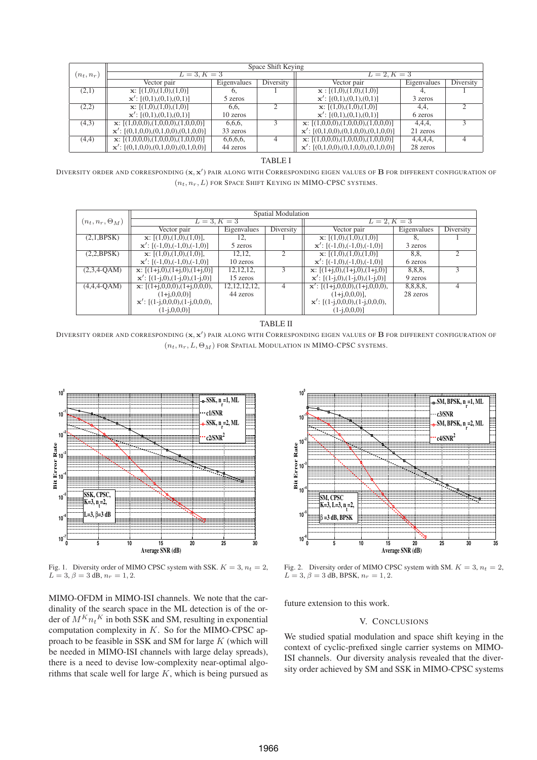|              | Space Shift Keying                              |             |           |                                                   |             |               |  |  |  |
|--------------|-------------------------------------------------|-------------|-----------|---------------------------------------------------|-------------|---------------|--|--|--|
| $(n_t, n_r)$ | $L = 3, K = 3$                                  |             |           | $L = 2, K = 3$                                    |             |               |  |  |  |
|              | Vector pair                                     | Eigenvalues | Diversity | Vector pair                                       | Eigenvalues | Diversity     |  |  |  |
| (2,1)        | $\mathbf{x}$ : [(1,0),(1,0),(1,0)]              | $\sigma$    |           | $\mathbf{x} : [(1,0),(1,0),(1,0)]$                |             |               |  |  |  |
|              | $\mathbf{x}'$ : [(0,1),(0,1),(0,1)]             | 5 zeros     |           | $\mathbf{x}'$ : [(0,1),(0,1),(0,1)]               | 3 zeros     |               |  |  |  |
| (2,2)        | $\mathbf{x}$ : [(1,0),(1,0),(1,0)]              | 6,6,        |           | $\mathbf{x}$ : [(1,0),(1,0),(1,0)]                | 4,4,        | $\mathcal{D}$ |  |  |  |
|              | $\mathbf{x}'$ : $[(0,1),(0,1),(0,1)]$           | 10 zeros    |           | $\mathbf{x}'$ : $[(0,1),(0,1),(0,1)]$             | 6 zeros     |               |  |  |  |
| (4,3)        | $\mathbf{x}$ : [(1,0,0,0),(1,0,0,0),(1,0,0,0)]  | 6,6,6,      |           | $\mathbf{x}$ : [(1,0,0,0),(1,0,0,0),(1,0,0,0)]    | 4,4,4,      |               |  |  |  |
|              | $\mathbf{x}'$ : [(0,1,0,0),(0,1,0,0),(0,1,0,0)] | 33 zeros    |           | $\mathbf{x}'$ : [(0,1,0,0),(0,1,0,0),(0,1,0,0)]   | 21 zeros    |               |  |  |  |
| (4,4)        | $\mathbf{x}$ : [(1,0,0,0),(1,0,0,0),(1,0,0,0)]  | 6,6,6,6,    |           | $\mathbf{x}$ : [(1,0,0,0),(1,0,0,0),(1,0,0,0)]    | 4,4,4,4,    |               |  |  |  |
|              | $\mathbf{x}'$ : [(0,1,0,0),(0,1,0,0),(0,1,0,0)] | 44 zeros    |           | $\mathbf{x}'$ : $[(0,1,0,0),(0,1,0,0),(0,1,0,0)]$ | 28 zeros    |               |  |  |  |

#### TABLE I

DIVERSITY ORDER AND CORRESPONDING (**x**, **x**′) PAIR ALONG WITH CORRESPONDING EIGEN VALUES OF **B** FOR DIFFERENT CONFIGURATION OF  $(n_t, n_r, L)$  for Space Shift Keying in MIMO-CPSC systems.

|                        | Spatial Modulation                        |                 |           |                                                      |             |               |  |  |  |
|------------------------|-------------------------------------------|-----------------|-----------|------------------------------------------------------|-------------|---------------|--|--|--|
| $(n_t, n_r, \Theta_M)$ | $L = 3, K = 3$                            |                 |           | $L = 2, K = 3$                                       |             |               |  |  |  |
|                        | Vector pair                               | Eigenvalues     | Diversity | Vector pair                                          | Eigenvalues | Diversity     |  |  |  |
| (2,1,BPSK)             | $\mathbf{x}$ : [(1,0),(1,0),(1,0)],       | 12.             |           | $\mathbf{x}$ : [(1,0),(1,0),(1,0)]                   | 8.          |               |  |  |  |
|                        | $\mathbf{x}'$ : [(-1,0),(-1,0),(-1,0)]    | 5 zeros         |           | $\mathbf{x}'$ : [(-1,0),(-1,0),(-1,0)]               | 3 zeros     |               |  |  |  |
| (2,2,BPSK)             | $\mathbf{x}$ : [(1,0),(1,0),(1,0)],       | 12,12,          |           | $\mathbf{x}$ : [(1,0),(1,0),(1,0)]                   | 8,8,        | $\mathcal{D}$ |  |  |  |
|                        | $\mathbf{x}'$ : [(-1,0),(-1,0),(-1,0)]    | 10 zeros        |           | $\mathbf{x}'$ : [(-1,0),(-1,0),(-1,0)]               | 6 zeros     |               |  |  |  |
| $(2,3,4$ -QAM)         | $x: [(1+i,0),(1+i,0),(1+i,0)]$            | 12, 12, 12,     |           | $\mathbf{x}$ : [(1+j,0),(1+j,0),(1+j,0)]             | 8,8,8,      | 3             |  |  |  |
|                        | $\mathbf{x}'$ : [(1-j,0),(1-j,0),(1-j,0)] | 15 zeros        |           | $\mathbf{x}'$ : [(1-j,0),(1-j,0),(1-j,0)]            | 9 zeros     |               |  |  |  |
| $(4,4,4-QAM)$          | $\mathbf{x}$ : [(1+j,0,0,0),(1+j,0,0,0),  | 12, 12, 12, 12, | 4         | $\overline{\mathbf{x}}'$ : [(1+j,0,0,0),(1+j,0,0,0), | 8,8,8,8,    | 4             |  |  |  |
|                        | $(1+j,0,0,0)]$                            | 44 zeros        |           | $(1+j,0,0,0)$ ],                                     | 28 zeros    |               |  |  |  |
|                        | $\mathbf{x}'$ : [(1-j,0,0,0),(1-j,0,0,0), |                 |           | $\mathbf{x}'$ : [(1-j,0,0,0),(1-j,0,0,0),            |             |               |  |  |  |
|                        | $(1-i,0,0,0)$ ]                           |                 |           | $(1-i,0,0,0)]$                                       |             |               |  |  |  |

# TABLE II

DIVERSITY ORDER AND CORRESPONDING (**x**, **x**′) PAIR ALONG WITH CORRESPONDING EIGEN VALUES OF **B** FOR DIFFERENT CONFIGURATION OF  $(n_t, n_r, L, \Theta_M)$  for Spatial Modulation in MIMO-CPSC systems.



Fig. 1. Diversity order of MIMO CPSC system with SSK.  $K = 3$ ,  $n_t = 2$ ,  $L = 3, \beta = 3$  dB,  $n_r = 1, 2$ .

MIMO-OFDM in MIMO-ISI channels. We note that the cardinality of the search space in the ML detection is of the order of  $M^{K} n_t^{K}$  in both SSK and SM, resulting in exponential computation complexity in  $K$ . So for the MIMO-CPSC approach to be feasible in SSK and SM for large  $K$  (which will be needed in MIMO-ISI channels with large delay spreads), there is a need to devise low-complexity near-optimal algorithms that scale well for large  $K$ , which is being pursued as



Fig. 2. Diversity order of MIMO CPSC system with SM.  $K = 3$ ,  $n_t = 2$ ,  $L = 3, \beta = 3$  dB, BPSK,  $n_r = 1, 2$ .

future extension to this work.

# V. CONCLUSIONS

We studied spatial modulation and space shift keying in the context of cyclic-prefixed single carrier systems on MIMO-ISI channels. Our diversity analysis revealed that the diversity order achieved by SM and SSK in MIMO-CPSC systems